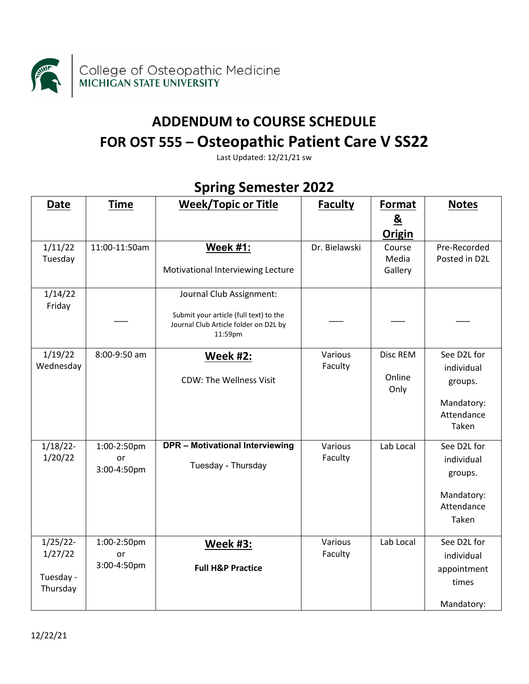

## **ADDENDUM to COURSE SCHEDULE FOR OST 555 – Osteopathic Patient Care V SS22**

Last Updated: 12/21/21 sw

| <b>Date</b>                                     | <b>Time</b>                      | <b>Week/Topic or Title</b>                                                                                             | <b>Faculty</b>     | Format                     | <b>Notes</b>                                                              |
|-------------------------------------------------|----------------------------------|------------------------------------------------------------------------------------------------------------------------|--------------------|----------------------------|---------------------------------------------------------------------------|
|                                                 |                                  |                                                                                                                        |                    | $\underline{\mathbf{8}}$   |                                                                           |
|                                                 |                                  |                                                                                                                        |                    | <b>Origin</b>              |                                                                           |
| 1/11/22<br>Tuesday                              | 11:00-11:50am                    | <b>Week #1:</b><br>Motivational Interviewing Lecture                                                                   | Dr. Bielawski      | Course<br>Media<br>Gallery | Pre-Recorded<br>Posted in D2L                                             |
| 1/14/22<br>Friday                               |                                  | Journal Club Assignment:<br>Submit your article (full text) to the<br>Journal Club Article folder on D2L by<br>11:59pm |                    |                            |                                                                           |
| 1/19/22<br>Wednesday                            | 8:00-9:50 am                     | <b>Week #2:</b><br><b>CDW: The Wellness Visit</b>                                                                      | Various<br>Faculty | Disc REM<br>Online<br>Only | See D2L for<br>individual<br>groups.<br>Mandatory:<br>Attendance<br>Taken |
| $1/18/22$ -<br>1/20/22                          | 1:00-2:50pm<br>or<br>3:00-4:50pm | <b>DPR - Motivational Interviewing</b><br>Tuesday - Thursday                                                           | Various<br>Faculty | Lab Local                  | See D2L for<br>individual<br>groups.<br>Mandatory:<br>Attendance<br>Taken |
| $1/25/22$ -<br>1/27/22<br>Tuesday -<br>Thursday | 1:00-2:50pm<br>or<br>3:00-4:50pm | <b>Week #3:</b><br><b>Full H&amp;P Practice</b>                                                                        | Various<br>Faculty | Lab Local                  | See D2L for<br>individual<br>appointment<br>times<br>Mandatory:           |

## **Spring Semester 2022**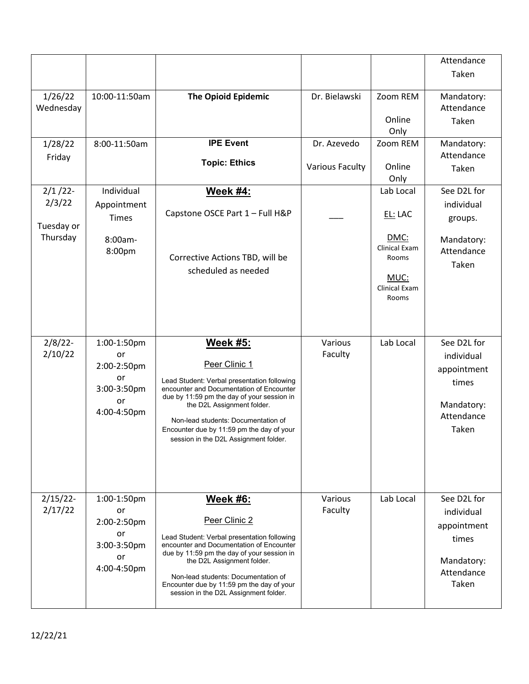|                                                |                                                                            |                                                                                                                                                                                                                                                                                                                                      |                        |                                                                                                 | Attendance                                                                             |
|------------------------------------------------|----------------------------------------------------------------------------|--------------------------------------------------------------------------------------------------------------------------------------------------------------------------------------------------------------------------------------------------------------------------------------------------------------------------------------|------------------------|-------------------------------------------------------------------------------------------------|----------------------------------------------------------------------------------------|
|                                                |                                                                            |                                                                                                                                                                                                                                                                                                                                      |                        |                                                                                                 | Taken                                                                                  |
| 1/26/22<br>Wednesday                           | 10:00-11:50am                                                              | <b>The Opioid Epidemic</b>                                                                                                                                                                                                                                                                                                           | Dr. Bielawski          | Zoom REM<br>Online                                                                              | Mandatory:<br>Attendance<br>Taken                                                      |
| 1/28/22                                        | 8:00-11:50am                                                               | <b>IPE Event</b>                                                                                                                                                                                                                                                                                                                     | Dr. Azevedo            | Only<br>Zoom REM                                                                                | Mandatory:                                                                             |
| Friday                                         |                                                                            | <b>Topic: Ethics</b>                                                                                                                                                                                                                                                                                                                 | <b>Various Faculty</b> | Online<br>Only                                                                                  | Attendance<br>Taken                                                                    |
| $2/1/22$ -<br>2/3/22<br>Tuesday or<br>Thursday | Individual<br>Appointment<br><b>Times</b><br>8:00am-<br>8:00pm             | <b>Week #4:</b><br>Capstone OSCE Part 1 - Full H&P<br>Corrective Actions TBD, will be<br>scheduled as needed                                                                                                                                                                                                                         |                        | Lab Local<br>EL: LAC<br>DMC:<br>Clinical Exam<br>Rooms<br>MUC:<br><b>Clinical Exam</b><br>Rooms | See D2L for<br>individual<br>groups.<br>Mandatory:<br>Attendance<br>Taken              |
| $2/8/22$ -<br>2/10/22                          | 1:00-1:50pm<br>or<br>2:00-2:50pm<br>or<br>3:00-3:50pm<br>or<br>4:00-4:50pm | <u>Week #5:</u><br>Peer Clinic 1<br>Lead Student: Verbal presentation following<br>encounter and Documentation of Encounter<br>due by 11:59 pm the day of your session in<br>the D2L Assignment folder.<br>Non-lead students: Documentation of<br>Encounter due by 11:59 pm the day of your<br>session in the D2L Assignment folder. | Various<br>Faculty     | Lab Local                                                                                       | See D2L for<br>individual<br>appointment<br>times<br>Mandatory:<br>Attendance<br>Taken |
| $2/15/22$ -<br>2/17/22                         | 1:00-1:50pm<br>or<br>2:00-2:50pm<br>or<br>3:00-3:50pm<br>or<br>4:00-4:50pm | <b>Week #6:</b><br>Peer Clinic 2<br>Lead Student: Verbal presentation following<br>encounter and Documentation of Encounter<br>due by 11:59 pm the day of your session in<br>the D2L Assignment folder.<br>Non-lead students: Documentation of<br>Encounter due by 11:59 pm the day of your<br>session in the D2L Assignment folder. | Various<br>Faculty     | Lab Local                                                                                       | See D2L for<br>individual<br>appointment<br>times<br>Mandatory:<br>Attendance<br>Taken |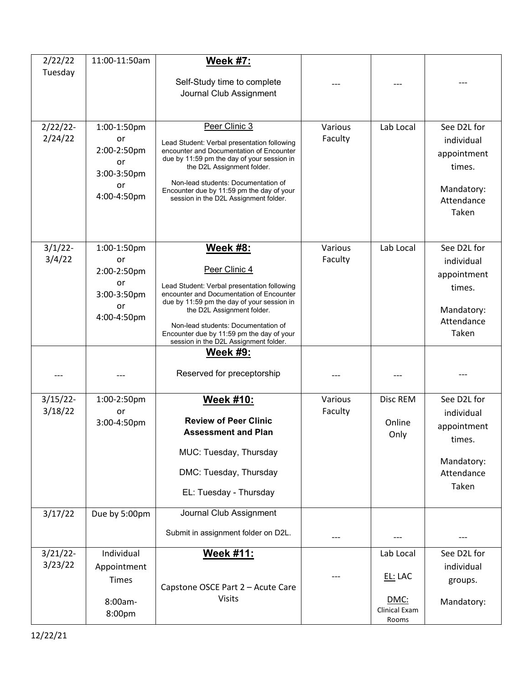| 2/22/22                | 11:00-11:50am                                                              | <b>Week #7:</b>                                                                                                                                                                                                                                                                                                                                         |                    |                                                        |                                                                                         |
|------------------------|----------------------------------------------------------------------------|---------------------------------------------------------------------------------------------------------------------------------------------------------------------------------------------------------------------------------------------------------------------------------------------------------------------------------------------------------|--------------------|--------------------------------------------------------|-----------------------------------------------------------------------------------------|
| Tuesday                |                                                                            | Self-Study time to complete<br>Journal Club Assignment                                                                                                                                                                                                                                                                                                  |                    |                                                        |                                                                                         |
| $2/22/22$ -<br>2/24/22 | 1:00-1:50pm<br>or<br>2:00-2:50pm<br>or<br>3:00-3:50pm<br>or<br>4:00-4:50pm | Peer Clinic 3<br>Lead Student: Verbal presentation following<br>encounter and Documentation of Encounter<br>due by 11:59 pm the day of your session in<br>the D2L Assignment folder.<br>Non-lead students: Documentation of<br>Encounter due by 11:59 pm the day of your<br>session in the D2L Assignment folder.                                       | Various<br>Faculty | Lab Local                                              | See D2L for<br>individual<br>appointment<br>times.<br>Mandatory:<br>Attendance<br>Taken |
| $3/1/22$ -<br>3/4/22   | 1:00-1:50pm<br>or<br>2:00-2:50pm<br>or<br>3:00-3:50pm<br>or<br>4:00-4:50pm | <b>Week #8:</b><br>Peer Clinic 4<br>Lead Student: Verbal presentation following<br>encounter and Documentation of Encounter<br>due by 11:59 pm the day of your session in<br>the D2L Assignment folder.<br>Non-lead students: Documentation of<br>Encounter due by 11:59 pm the day of your<br>session in the D2L Assignment folder.<br><u>Week #9:</u> | Various<br>Faculty | Lab Local                                              | See D2L for<br>individual<br>appointment<br>times.<br>Mandatory:<br>Attendance<br>Taken |
|                        |                                                                            | Reserved for preceptorship                                                                                                                                                                                                                                                                                                                              |                    |                                                        |                                                                                         |
| $3/15/22$ -<br>3/18/22 | 1:00-2:50pm<br>or<br>3:00-4:50pm                                           | Week #10:<br><b>Review of Peer Clinic</b><br><b>Assessment and Plan</b><br>MUC: Tuesday, Thursday<br>DMC: Tuesday, Thursday<br>EL: Tuesday - Thursday                                                                                                                                                                                                   | Various<br>Faculty | Disc REM<br>Online<br>Only                             | See D2L for<br>individual<br>appointment<br>times.<br>Mandatory:<br>Attendance<br>Taken |
| 3/17/22                | Due by 5:00pm                                                              | Journal Club Assignment<br>Submit in assignment folder on D2L.                                                                                                                                                                                                                                                                                          | ---                |                                                        | ---                                                                                     |
| $3/21/22$ -<br>3/23/22 | Individual<br>Appointment<br>Times<br>8:00am-<br>8:00pm                    | Week #11:<br>Capstone OSCE Part 2 - Acute Care<br><b>Visits</b>                                                                                                                                                                                                                                                                                         |                    | Lab Local<br>EL: LAC<br>DMC:<br>Clinical Exam<br>Rooms | See D2L for<br>individual<br>groups.<br>Mandatory:                                      |